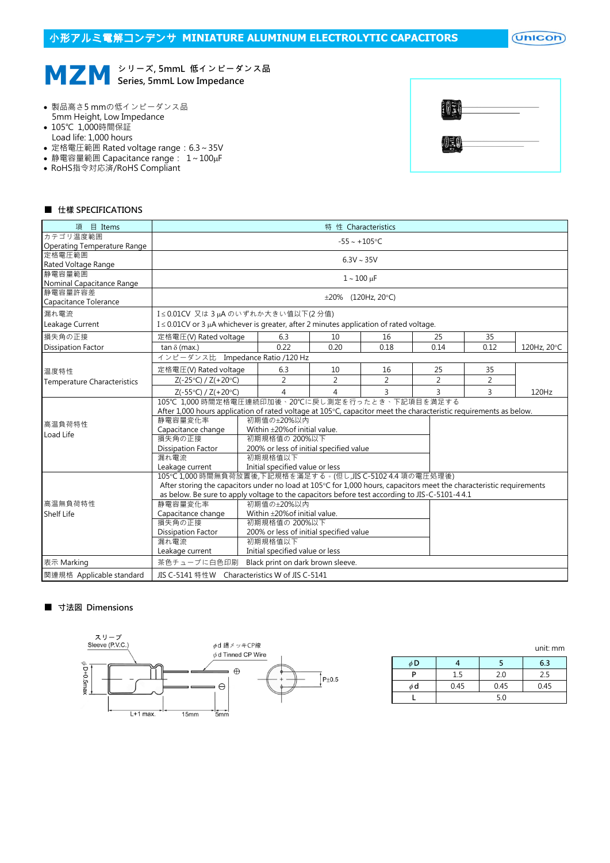$($ Unicon $)$ 

# **MZM** シ<sup>リーズ, 5mmL 低インピーダンス品<br>
Series, 5mmL Low Impedance</sup> Series, 5mmL Low Impedance

- 製品高さ5 mmの低インピーダンス品 5mm Height, Low Impedance
- 105℃ 1,000時間保証 Load life: 1,000 hours
- 定格電圧範囲 Rated voltage range:6.3~35V
- 静電容量範囲 Capacitance range:  $1 \sim 100 \mu$ F
- RoHS指令対応済/RoHS Compliant

| $\frac{1}{2}$ | __   |  |
|---------------|------|--|
| EU            | ____ |  |

#### ■ 仕樣 SPECIFICATIONS

| 目 Items<br>頂                       | 特 性 Characteristics                                                                                                  |                 |                                         |                          |                |                |             |  |  |  |
|------------------------------------|----------------------------------------------------------------------------------------------------------------------|-----------------|-----------------------------------------|--------------------------|----------------|----------------|-------------|--|--|--|
| カテゴリ温度範囲                           | $-55 - +105$ °C                                                                                                      |                 |                                         |                          |                |                |             |  |  |  |
| <b>Operating Temperature Range</b> |                                                                                                                      |                 |                                         |                          |                |                |             |  |  |  |
| 定格電圧範囲                             | $6.3V \sim 35V$                                                                                                      |                 |                                         |                          |                |                |             |  |  |  |
| Rated Voltage Range<br>静電容量範囲      |                                                                                                                      |                 |                                         |                          |                |                |             |  |  |  |
| Nominal Capacitance Range          |                                                                                                                      |                 |                                         | $1 - 100 \,\mu F$        |                |                |             |  |  |  |
| 静電容量許容差                            |                                                                                                                      |                 |                                         |                          |                |                |             |  |  |  |
| Capacitance Tolerance              |                                                                                                                      |                 |                                         | $\pm 20\%$ (120Hz, 20°C) |                |                |             |  |  |  |
| 漏れ電流                               | I≤0.01CV 又は3µAのいずれか大きい値以下(2分値)                                                                                       |                 |                                         |                          |                |                |             |  |  |  |
| Leakage Current                    | $I \leq 0.01$ CV or 3 µA whichever is greater, after 2 minutes application of rated voltage.                         |                 |                                         |                          |                |                |             |  |  |  |
| 損失角の正接                             | 定格電圧(V) Rated voltage                                                                                                | 6.3             | 10                                      | 16                       | 25             | 35             |             |  |  |  |
| <b>Dissipation Factor</b>          | tan $\delta$ (max.)                                                                                                  | 0.22            | 0.20                                    | 0.18                     | 0.14           | 0.12           | 120Hz, 20°C |  |  |  |
|                                    | インピーダンス比 Impedance Ratio /120 Hz                                                                                     |                 |                                         |                          |                |                |             |  |  |  |
| 温度特性                               | 定格電圧(V) Rated voltage                                                                                                | 6.3             | 10                                      | 16                       | 25             | 35             |             |  |  |  |
| <b>Temperature Characteristics</b> | $Z(-25°C) / Z(+20°C)$                                                                                                | $\overline{2}$  | 2                                       | $\overline{2}$           | $\overline{2}$ | $\overline{2}$ |             |  |  |  |
|                                    | $Z(-55^{\circ}C) / Z(+20^{\circ}C)$                                                                                  | $\overline{4}$  | 4                                       | 3                        | 3              | 3              | 120Hz       |  |  |  |
|                                    | 105℃ 1,000 時間定格電圧連続印加後、20℃に戻し測定を行ったとき、下記項目を満足する                                                                      |                 |                                         |                          |                |                |             |  |  |  |
|                                    | After 1,000 hours application of rated voltage at 105°C, capacitor meet the characteristic requirements as below.    |                 |                                         |                          |                |                |             |  |  |  |
| 高温負荷特性                             | 静雷容量変化率<br>初期値の±20%以内                                                                                                |                 |                                         |                          |                |                |             |  |  |  |
| Load Life                          | Capacitance change                                                                                                   |                 | Within $\pm$ 20% of initial value.      |                          |                |                |             |  |  |  |
|                                    | 損失角の正接                                                                                                               | 初期規格值の 200%以下   |                                         |                          |                |                |             |  |  |  |
|                                    | <b>Dissipation Factor</b>                                                                                            |                 | 200% or less of initial specified value |                          |                |                |             |  |  |  |
|                                    |                                                                                                                      | 漏れ電流<br>初期規格值以下 |                                         |                          |                |                |             |  |  |  |
|                                    | Initial specified value or less<br>Leakage current                                                                   |                 |                                         |                          |                |                |             |  |  |  |
|                                    | 105℃1,000 時間無負荷放置後,下記規格を滿足する。(但し,JIS C-5102 4.4 項の電圧処理後)                                                             |                 |                                         |                          |                |                |             |  |  |  |
|                                    | After storing the capacitors under no load at 105°C for 1,000 hours, capacitors meet the characteristic requirements |                 |                                         |                          |                |                |             |  |  |  |
|                                    | as below. Be sure to apply voltage to the capacitors before test according to JIS-C-5101-4 4.1                       |                 |                                         |                          |                |                |             |  |  |  |
| 高温無負荷特性                            | 静雷容量変化率<br>初期値の±20%以内                                                                                                |                 |                                         |                          |                |                |             |  |  |  |
| <b>Shelf Life</b>                  | Within ±20% of initial value.<br>Capacitance change                                                                  |                 |                                         |                          |                |                |             |  |  |  |
|                                    | 損失角の正接<br>初期規格值の 200%以下                                                                                              |                 |                                         |                          |                |                |             |  |  |  |
|                                    | 200% or less of initial specified value<br>Dissipation Factor                                                        |                 |                                         |                          |                |                |             |  |  |  |
|                                    | 初期規格值以下<br>漏れ電流                                                                                                      |                 |                                         |                          |                |                |             |  |  |  |
|                                    | Leakage current                                                                                                      |                 | Initial specified value or less         |                          |                |                |             |  |  |  |
| 表示 Marking                         | 茶色チューブに白色印刷                                                                                                          |                 | Black print on dark brown sleeve.       |                          |                |                |             |  |  |  |
| 関連規格 Applicable standard           | JIS C-5141 特性W Characteristics W of JIS C-5141                                                                       |                 |                                         |                          |                |                |             |  |  |  |

#### ■ 寸法図 Dimensions



|          |      |      | <u>GILL IIIII</u> |
|----------|------|------|-------------------|
| φD       |      |      | 6.3               |
| D        | 1.5  | 2.0  | 2.5               |
| $\phi$ d | 0.45 | 0.45 | 0.45              |
|          |      | 5.0  |                   |